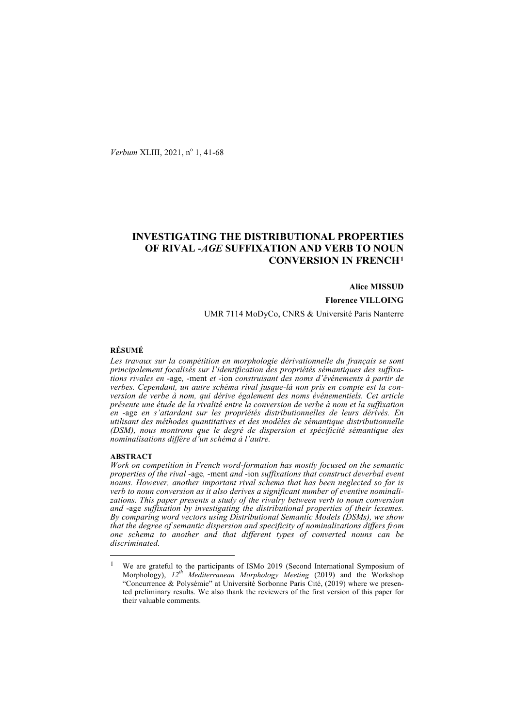*Verbum* XLIII, 2021, n<sup>o</sup> 1, 41-68

# **INVESTIGATING THE DISTRIBUTIONAL PROPERTIES OF RIVAL -***AGE* **SUFFIXATION AND VERB TO NOUN CONVERSION IN FRENCH1**

**Alice MISSUD Florence VILLOING** UMR 7114 MoDyCo, CNRS & Université Paris Nanterre

# **RÉSUMÉ**

*Les travaux sur la compétition en morphologie dérivationnelle du français se sont principalement focalisés sur l'identification des propriétés sémantiques des suffixations rivales en -*age*, -*ment *et -*ion *construisant des noms d'événements à partir de verbes. Cependant, un autre schéma rival jusque-là non pris en compte est la conversion de verbe à nom, qui dérive également des noms événementiels. Cet article présente une étude de la rivalité entre la conversion de verbe à nom et la suffixation en -*age *en s'attardant sur les propriétés distributionnelles de leurs dérivés. En utilisant des méthodes quantitatives et des modèles de sémantique distributionnelle (DSM), nous montrons que le degré de dispersion et spécificité sémantique des nominalisations diffère d'un schéma à l'autre.*

### **ABSTRACT**

*Work on competition in French word-formation has mostly focused on the semantic properties of the rival* -age*,* -ment *and* -ion *suffixations that construct deverbal event nouns. However, another important rival schema that has been neglected so far is verb to noun conversion as it also derives a significant number of eventive nominalizations. This paper presents a study of the rivalry between verb to noun conversion and* -age *suffixation by investigating the distributional properties of their lexemes. By comparing word vectors using Distributional Semantic Models (DSMs), we show that the degree of semantic dispersion and specificity of nominalizations differs from one schema to another and that different types of converted nouns can be discriminated.*

 <sup>1</sup> We are grateful to the participants of ISMo 2019 (Second International Symposium of Morphology), *12th Mediterranean Morphology Meeting* (2019) and the Workshop "Concurrence & Polysémie" at Université Sorbonne Paris Cité, (2019) where we presented preliminary results. We also thank the reviewers of the first version of this paper for their valuable comments.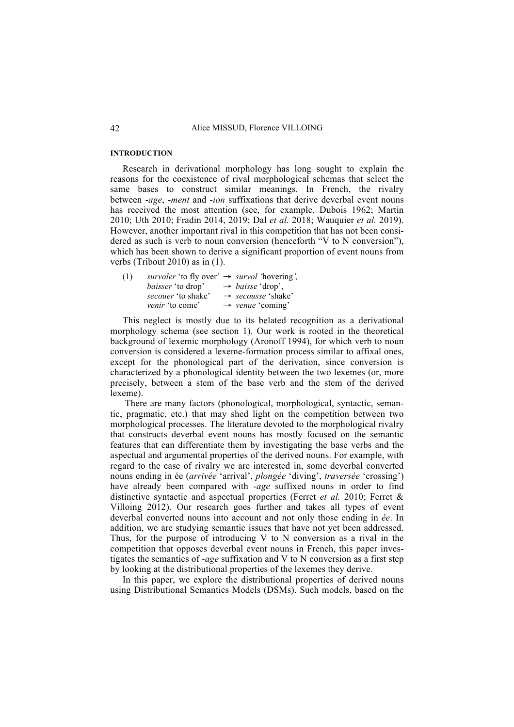#### **INTRODUCTION**

Research in derivational morphology has long sought to explain the reasons for the coexistence of rival morphological schemas that select the same bases to construct similar meanings. In French, the rivalry between -*age*, -*ment* and -*ion* suffixations that derive deverbal event nouns has received the most attention (see, for example, Dubois 1962; Martin 2010; Uth 2010; Fradin 2014, 2019; Dal *et al.* 2018; Wauquier *et al.* 2019). However, another important rival in this competition that has not been considered as such is verb to noun conversion (henceforth "V to N conversion"), which has been shown to derive a significant proportion of event nouns from verbs (Tribout 2010) as in (1).

| (1) | survoler 'to fly over' $\rightarrow$ survol 'hovering', |                                |
|-----|---------------------------------------------------------|--------------------------------|
|     | <i>baisser</i> 'to drop'                                | $\rightarrow$ baisse 'drop',   |
|     | <i>secouer</i> 'to shake'                               | $\rightarrow$ secousse 'shake' |
|     | <i>venir</i> 'to come'                                  | $\rightarrow$ venue 'coming'   |

This neglect is mostly due to its belated recognition as a derivational morphology schema (see section 1). Our work is rooted in the theoretical background of lexemic morphology (Aronoff 1994), for which verb to noun conversion is considered a lexeme-formation process similar to affixal ones, except for the phonological part of the derivation, since conversion is characterized by a phonological identity between the two lexemes (or, more precisely, between a stem of the base verb and the stem of the derived lexeme).

There are many factors (phonological, morphological, syntactic, semantic, pragmatic, etc.) that may shed light on the competition between two morphological processes. The literature devoted to the morphological rivalry that constructs deverbal event nouns has mostly focused on the semantic features that can differentiate them by investigating the base verbs and the aspectual and argumental properties of the derived nouns. For example, with regard to the case of rivalry we are interested in, some deverbal converted nouns ending in ée (*arrivée* 'arrival', *plongée* 'diving', *traversée* 'crossing') have already been compared with *-age* suffixed nouns in order to find distinctive syntactic and aspectual properties (Ferret *et al.* 2010; Ferret & Villoing 2012). Our research goes further and takes all types of event deverbal converted nouns into account and not only those ending in *ée*. In addition, we are studying semantic issues that have not yet been addressed. Thus, for the purpose of introducing V to N conversion as a rival in the competition that opposes deverbal event nouns in French, this paper investigates the semantics of *-age* suffixation and V to N conversion as a first step by looking at the distributional properties of the lexemes they derive.

In this paper, we explore the distributional properties of derived nouns using Distributional Semantics Models (DSMs). Such models, based on the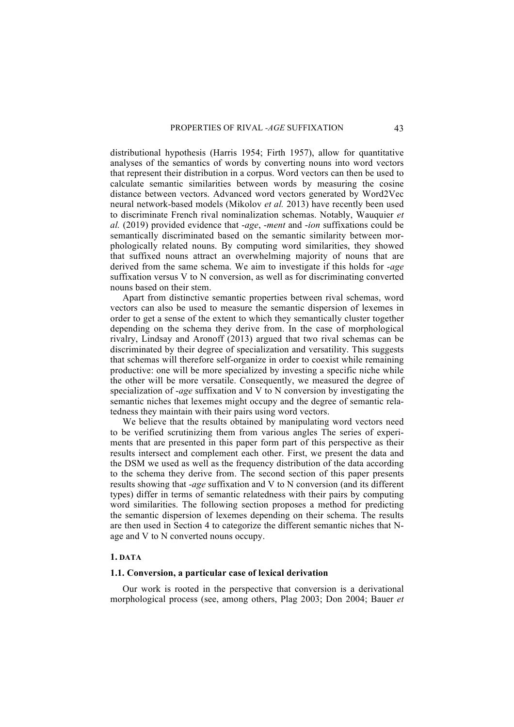distributional hypothesis (Harris 1954; Firth 1957), allow for quantitative analyses of the semantics of words by converting nouns into word vectors that represent their distribution in a corpus. Word vectors can then be used to calculate semantic similarities between words by measuring the cosine distance between vectors. Advanced word vectors generated by Word2Vec neural network-based models (Mikolov *et al.* 2013) have recently been used to discriminate French rival nominalization schemas. Notably, Wauquier *et al.* (2019) provided evidence that -*age*, -*ment* and -*ion* suffixations could be semantically discriminated based on the semantic similarity between morphologically related nouns. By computing word similarities, they showed that suffixed nouns attract an overwhelming majority of nouns that are derived from the same schema. We aim to investigate if this holds for -*age* suffixation versus V to N conversion, as well as for discriminating converted nouns based on their stem.

Apart from distinctive semantic properties between rival schemas, word vectors can also be used to measure the semantic dispersion of lexemes in order to get a sense of the extent to which they semantically cluster together depending on the schema they derive from. In the case of morphological rivalry, Lindsay and Aronoff (2013) argued that two rival schemas can be discriminated by their degree of specialization and versatility. This suggests that schemas will therefore self-organize in order to coexist while remaining productive: one will be more specialized by investing a specific niche while the other will be more versatile. Consequently, we measured the degree of specialization of -*age* suffixation and V to N conversion by investigating the semantic niches that lexemes might occupy and the degree of semantic relatedness they maintain with their pairs using word vectors.

We believe that the results obtained by manipulating word vectors need to be verified scrutinizing them from various angles The series of experiments that are presented in this paper form part of this perspective as their results intersect and complement each other. First, we present the data and the DSM we used as well as the frequency distribution of the data according to the schema they derive from. The second section of this paper presents results showing that -*age* suffixation and V to N conversion (and its different types) differ in terms of semantic relatedness with their pairs by computing word similarities. The following section proposes a method for predicting the semantic dispersion of lexemes depending on their schema. The results are then used in Section 4 to categorize the different semantic niches that Nage and V to N converted nouns occupy.

# **1. DATA**

# **1.1. Conversion, a particular case of lexical derivation**

Our work is rooted in the perspective that conversion is a derivational morphological process (see, among others, Plag 2003; Don 2004; Bauer *et*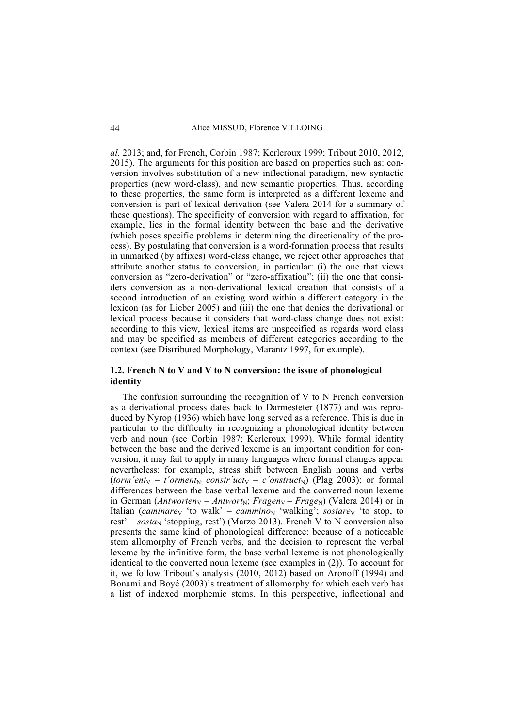*al.* 2013; and, for French, Corbin 1987; Kerleroux 1999; Tribout 2010, 2012, 2015). The arguments for this position are based on properties such as: conversion involves substitution of a new inflectional paradigm, new syntactic properties (new word-class), and new semantic properties. Thus, according to these properties, the same form is interpreted as a different lexeme and conversion is part of lexical derivation (see Valera 2014 for a summary of these questions). The specificity of conversion with regard to affixation, for example, lies in the formal identity between the base and the derivative (which poses specific problems in determining the directionality of the process). By postulating that conversion is a word-formation process that results in unmarked (by affixes) word-class change, we reject other approaches that attribute another status to conversion, in particular: (i) the one that views conversion as "zero-derivation" or "zero-affixation"; (ii) the one that considers conversion as a non-derivational lexical creation that consists of a second introduction of an existing word within a different category in the lexicon (as for Lieber 2005) and (iii) the one that denies the derivational or lexical process because it considers that word-class change does not exist: according to this view, lexical items are unspecified as regards word class and may be specified as members of different categories according to the context (see Distributed Morphology, Marantz 1997, for example).

# **1.2. French N to V and V to N conversion: the issue of phonological identity**

The confusion surrounding the recognition of V to N French conversion as a derivational process dates back to Darmesteter (1877) and was reproduced by Nyrop (1936) which have long served as a reference. This is due in particular to the difficulty in recognizing a phonological identity between verb and noun (see Corbin 1987; Kerleroux 1999). While formal identity between the base and the derived lexeme is an important condition for conversion, it may fail to apply in many languages where formal changes appear nevertheless: for example, stress shift between English nouns and verbs (*torm'ent*<sub>V</sub> – *t'orment*<sub>N</sub>; *constr'uct*<sub>V</sub> – *c'onstruct*<sub>N</sub>) (Plag 2003); or formal differences between the base verbal lexeme and the converted noun lexeme in German (*Antworten*<sub>V</sub> – *Antwort*<sub>N</sub>; *Fragen*<sub>V</sub> – *Frage*<sub>N</sub>) (Valera 2014) or in Italian (*caminare* $\sqrt{\ }$  'to walk' – *cammino*<sub>N</sub> 'walking'; *sostare* $\sqrt{\ }$  'to stop, to rest' – *sosta*<sub>N</sub> 'stopping, rest') (Marzo 2013). French V to N conversion also presents the same kind of phonological difference: because of a noticeable stem allomorphy of French verbs, and the decision to represent the verbal lexeme by the infinitive form, the base verbal lexeme is not phonologically identical to the converted noun lexeme (see examples in (2)). To account for it, we follow Tribout's analysis (2010, 2012) based on Aronoff (1994) and Bonami and Boyé (2003)'s treatment of allomorphy for which each verb has a list of indexed morphemic stems. In this perspective, inflectional and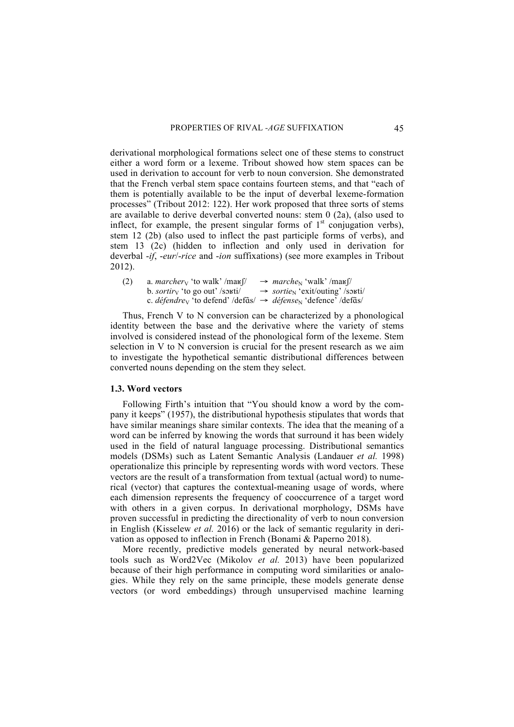derivational morphological formations select one of these stems to construct either a word form or a lexeme. Tribout showed how stem spaces can be used in derivation to account for verb to noun conversion. She demonstrated that the French verbal stem space contains fourteen stems, and that "each of them is potentially available to be the input of deverbal lexeme-formation processes" (Tribout 2012: 122). Her work proposed that three sorts of stems are available to derive deverbal converted nouns: stem 0 (2a), (also used to inflect, for example, the present singular forms of  $1<sup>st</sup>$  conjugation verbs). stem 12 (2b) (also used to inflect the past participle forms of verbs), and stem 13 (2c) (hidden to inflection and only used in derivation for deverbal -*if*, -*eur*/-*rice* and -*ion* suffixations) (see more examples in Tribout 2012).

| (2) | a. <i>marcher</i> <sub>V</sub> 'to walk' /max $\int$ /                                                          | $\rightarrow$ <i>marche</i> <sub>N</sub> 'walk'/mars (1)       |
|-----|-----------------------------------------------------------------------------------------------------------------|----------------------------------------------------------------|
|     | b. <i>sortiry</i> 'to go out' /souti/                                                                           | $\rightarrow$ <i>sortie</i> <sub>N</sub> 'exit/outing' /souti/ |
|     | c. <i>défendre</i> v 'to defend' /def $\tilde{a}s$ $\rightarrow$ <i>défense</i> v 'defence' /def $\tilde{a}s$ / |                                                                |

Thus, French V to N conversion can be characterized by a phonological identity between the base and the derivative where the variety of stems involved is considered instead of the phonological form of the lexeme. Stem selection in V to N conversion is crucial for the present research as we aim to investigate the hypothetical semantic distributional differences between converted nouns depending on the stem they select.

### **1.3. Word vectors**

Following Firth's intuition that "You should know a word by the company it keeps" (1957), the distributional hypothesis stipulates that words that have similar meanings share similar contexts. The idea that the meaning of a word can be inferred by knowing the words that surround it has been widely used in the field of natural language processing. Distributional semantics models (DSMs) such as Latent Semantic Analysis (Landauer *et al.* 1998) operationalize this principle by representing words with word vectors. These vectors are the result of a transformation from textual (actual word) to numerical (vector) that captures the contextual-meaning usage of words, where each dimension represents the frequency of cooccurrence of a target word with others in a given corpus. In derivational morphology, DSMs have proven successful in predicting the directionality of verb to noun conversion in English (Kisselew *et al.* 2016) or the lack of semantic regularity in derivation as opposed to inflection in French (Bonami & Paperno 2018).

More recently, predictive models generated by neural network-based tools such as Word2Vec (Mikolov *et al.* 2013) have been popularized because of their high performance in computing word similarities or analogies. While they rely on the same principle, these models generate dense vectors (or word embeddings) through unsupervised machine learning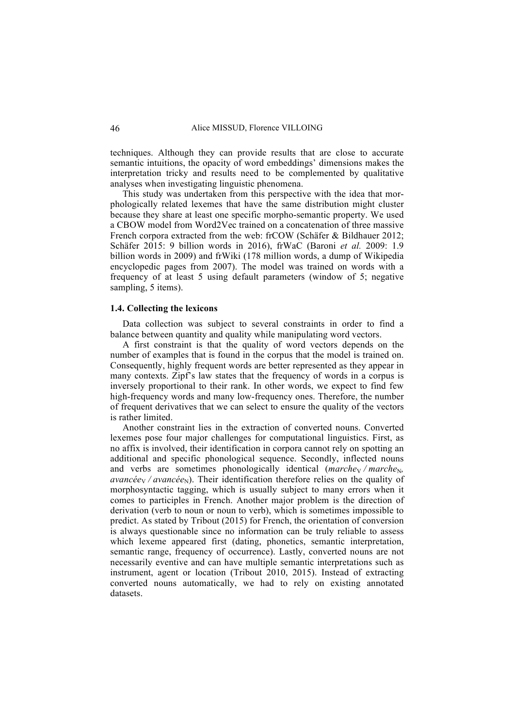techniques. Although they can provide results that are close to accurate semantic intuitions, the opacity of word embeddings' dimensions makes the interpretation tricky and results need to be complemented by qualitative analyses when investigating linguistic phenomena.

This study was undertaken from this perspective with the idea that morphologically related lexemes that have the same distribution might cluster because they share at least one specific morpho-semantic property. We used a CBOW model from Word2Vec trained on a concatenation of three massive French corpora extracted from the web: frCOW (Schäfer & Bildhauer 2012; Schäfer 2015: 9 billion words in 2016), frWaC (Baroni *et al.* 2009: 1.9 billion words in 2009) and frWiki (178 million words, a dump of Wikipedia encyclopedic pages from 2007). The model was trained on words with a frequency of at least 5 using default parameters (window of 5; negative sampling, 5 items).

# **1.4. Collecting the lexicons**

Data collection was subject to several constraints in order to find a balance between quantity and quality while manipulating word vectors.

A first constraint is that the quality of word vectors depends on the number of examples that is found in the corpus that the model is trained on. Consequently, highly frequent words are better represented as they appear in many contexts. Zipf's law states that the frequency of words in a corpus is inversely proportional to their rank. In other words, we expect to find few high-frequency words and many low-frequency ones. Therefore, the number of frequent derivatives that we can select to ensure the quality of the vectors is rather limited.

Another constraint lies in the extraction of converted nouns. Converted lexemes pose four major challenges for computational linguistics. First, as no affix is involved, their identification in corpora cannot rely on spotting an additional and specific phonological sequence. Secondly, inflected nouns and verbs are sometimes phonologically identical (*marche*<sub>V</sub> / *marche*<sub>N</sub>,  $$ morphosyntactic tagging, which is usually subject to many errors when it comes to participles in French. Another major problem is the direction of derivation (verb to noun or noun to verb), which is sometimes impossible to predict. As stated by Tribout (2015) for French, the orientation of conversion is always questionable since no information can be truly reliable to assess which lexeme appeared first (dating, phonetics, semantic interpretation, semantic range, frequency of occurrence). Lastly, converted nouns are not necessarily eventive and can have multiple semantic interpretations such as instrument, agent or location (Tribout 2010, 2015). Instead of extracting converted nouns automatically, we had to rely on existing annotated datasets.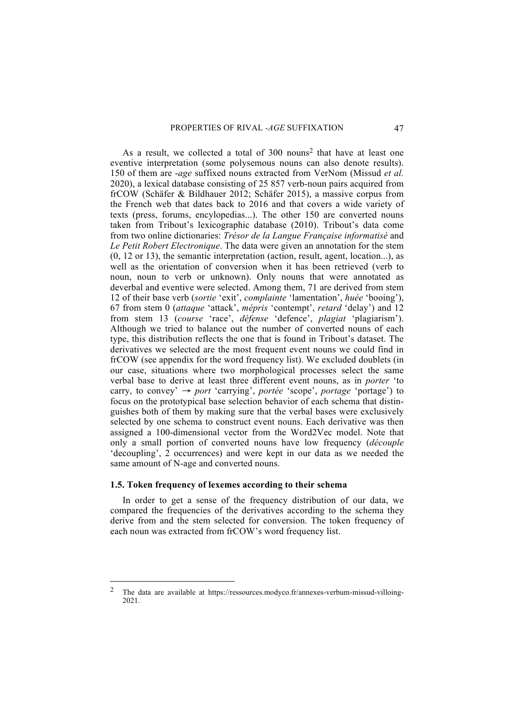As a result, we collected a total of  $300$  nouns<sup>2</sup> that have at least one eventive interpretation (some polysemous nouns can also denote results). 150 of them are -*age* suffixed nouns extracted from VerNom (Missud *et al.* 2020), a lexical database consisting of 25 857 verb-noun pairs acquired from frCOW (Schäfer & Bildhauer 2012; Schäfer 2015), a massive corpus from the French web that dates back to 2016 and that covers a wide variety of texts (press, forums, encylopedias...). The other 150 are converted nouns taken from Tribout's lexicographic database (2010). Tribout's data come from two online dictionaries: *Trésor de la Langue Française informatisé* and *Le Petit Robert Electronique*. The data were given an annotation for the stem (0, 12 or 13), the semantic interpretation (action, result, agent, location...), as well as the orientation of conversion when it has been retrieved (verb to noun, noun to verb or unknown). Only nouns that were annotated as deverbal and eventive were selected. Among them, 71 are derived from stem 12 of their base verb (*sortie* 'exit', *complainte* 'lamentation', *huée* 'booing'), 67 from stem 0 (*attaque* 'attack', *mépris* 'contempt', *retard* 'delay') and 12 from stem 13 (*course* 'race', *défense* 'defence', *plagiat* 'plagiarism'). Although we tried to balance out the number of converted nouns of each type, this distribution reflects the one that is found in Tribout's dataset. The derivatives we selected are the most frequent event nouns we could find in frCOW (see appendix for the word frequency list). We excluded doublets (in our case, situations where two morphological processes select the same verbal base to derive at least three different event nouns, as in *porter* 'to carry, to convey' → *port* 'carrying', *portée* 'scope', *portage* 'portage') to focus on the prototypical base selection behavior of each schema that distinguishes both of them by making sure that the verbal bases were exclusively selected by one schema to construct event nouns. Each derivative was then assigned a 100-dimensional vector from the Word2Vec model. Note that only a small portion of converted nouns have low frequency (*découple* 'decoupling', 2 occurrences) and were kept in our data as we needed the same amount of N-age and converted nouns.

#### **1.5. Token frequency of lexemes according to their schema**

In order to get a sense of the frequency distribution of our data, we compared the frequencies of the derivatives according to the schema they derive from and the stem selected for conversion. The token frequency of each noun was extracted from frCOW's word frequency list.

 <sup>2</sup> The data are available at https://ressources.modyco.fr/annexes-verbum-missud-villoing-2021.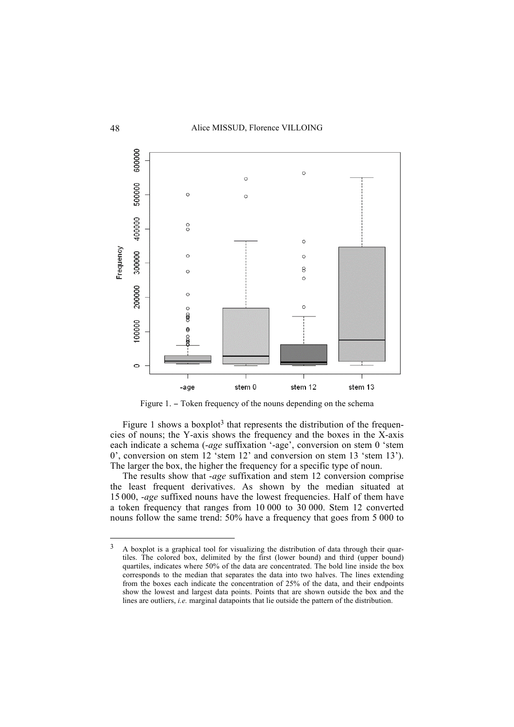

Figure 1. − Token frequency of the nouns depending on the schema

Figure 1 shows a boxplot<sup>3</sup> that represents the distribution of the frequencies of nouns; the Y-axis shows the frequency and the boxes in the X-axis each indicate a schema (-age suffixation '-age', conversion on stem 0 'stem 0', conversion on stem 12 'stem 12' and conversion on stem 13 'stem 13'). The larger the box, the higher the frequency for a specific type of noun.

The results show that -*age* suffixation and stem 12 conversion comprise the least frequent derivatives. As shown by the median situated at 15 000, -*age* suffixed nouns have the lowest frequencies. Half of them have a token frequency that ranges from 10 000 to 30 000. Stem 12 converted nouns follow the same trend: 50% have a frequency that goes from 5 000 to

<sup>&</sup>lt;sup>3</sup> A boxplot is a graphical tool for visualizing the distribution of data through their quartiles. The colored box, delimited by the first (lower bound) and third (upper bound) quartiles, indicates where 50% of the data are concentrated. The bold line inside the box corresponds to the median that separates the data into two halves. The lines extending from the boxes each indicate the concentration of 25% of the data, and their endpoints show the lowest and largest data points. Points that are shown outside the box and the lines are outliers, *i.e.* marginal datapoints that lie outside the pattern of the distribution.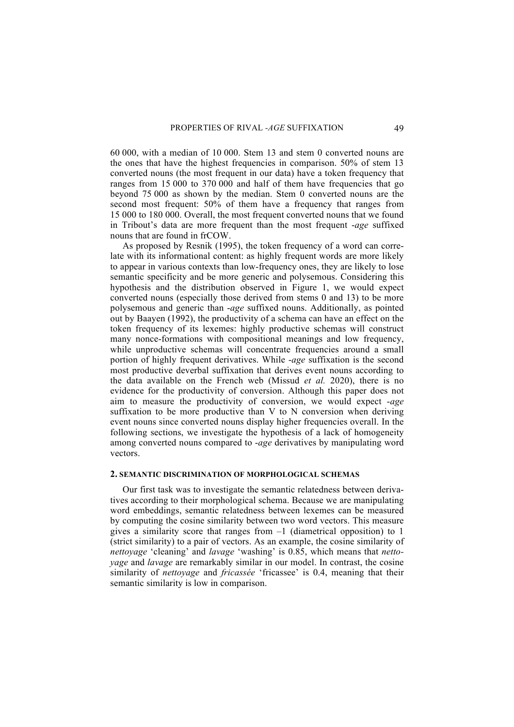60 000, with a median of 10 000. Stem 13 and stem 0 converted nouns are the ones that have the highest frequencies in comparison. 50% of stem 13 converted nouns (the most frequent in our data) have a token frequency that ranges from 15 000 to 370 000 and half of them have frequencies that go beyond 75 000 as shown by the median. Stem 0 converted nouns are the second most frequent: 50% of them have a frequency that ranges from 15 000 to 180 000. Overall, the most frequent converted nouns that we found in Tribout's data are more frequent than the most frequent -*age* suffixed nouns that are found in frCOW.

As proposed by Resnik (1995), the token frequency of a word can correlate with its informational content: as highly frequent words are more likely to appear in various contexts than low-frequency ones, they are likely to lose semantic specificity and be more generic and polysemous. Considering this hypothesis and the distribution observed in Figure 1, we would expect converted nouns (especially those derived from stems 0 and 13) to be more polysemous and generic than -*age* suffixed nouns. Additionally, as pointed out by Baayen (1992), the productivity of a schema can have an effect on the token frequency of its lexemes: highly productive schemas will construct many nonce-formations with compositional meanings and low frequency, while unproductive schemas will concentrate frequencies around a small portion of highly frequent derivatives. While -*age* suffixation is the second most productive deverbal suffixation that derives event nouns according to the data available on the French web (Missud *et al.* 2020), there is no evidence for the productivity of conversion. Although this paper does not aim to measure the productivity of conversion, we would expect -*age* suffixation to be more productive than V to N conversion when deriving event nouns since converted nouns display higher frequencies overall. In the following sections, we investigate the hypothesis of a lack of homogeneity among converted nouns compared to -*age* derivatives by manipulating word vectors.

#### **2. SEMANTIC DISCRIMINATION OF MORPHOLOGICAL SCHEMAS**

Our first task was to investigate the semantic relatedness between derivatives according to their morphological schema. Because we are manipulating word embeddings, semantic relatedness between lexemes can be measured by computing the cosine similarity between two word vectors. This measure gives a similarity score that ranges from  $-1$  (diametrical opposition) to 1 (strict similarity) to a pair of vectors. As an example, the cosine similarity of *nettoyage* 'cleaning' and *lavage* 'washing' is 0.85, which means that *nettoyage* and *lavage* are remarkably similar in our model. In contrast, the cosine similarity of *nettoyage* and *fricassée* 'fricassee' is 0.4, meaning that their semantic similarity is low in comparison.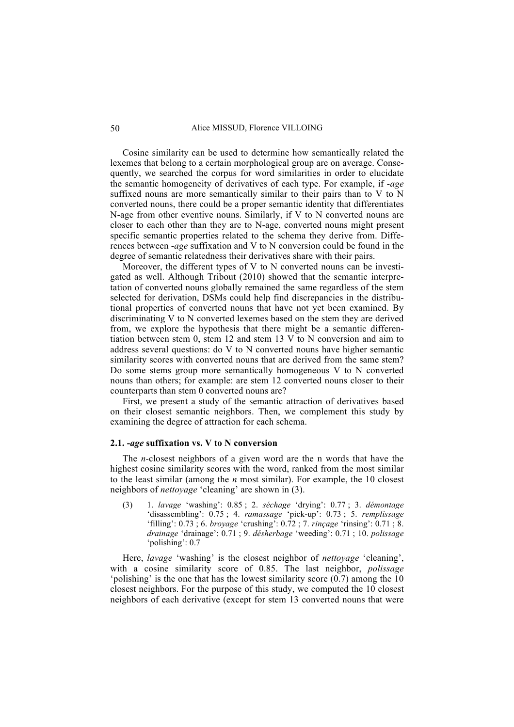Cosine similarity can be used to determine how semantically related the lexemes that belong to a certain morphological group are on average. Consequently, we searched the corpus for word similarities in order to elucidate the semantic homogeneity of derivatives of each type. For example, if -*age* suffixed nouns are more semantically similar to their pairs than to V to N converted nouns, there could be a proper semantic identity that differentiates N-age from other eventive nouns. Similarly, if V to N converted nouns are closer to each other than they are to N-age, converted nouns might present specific semantic properties related to the schema they derive from. Differences between -*age* suffixation and V to N conversion could be found in the degree of semantic relatedness their derivatives share with their pairs.

Moreover, the different types of V to N converted nouns can be investigated as well. Although Tribout (2010) showed that the semantic interpretation of converted nouns globally remained the same regardless of the stem selected for derivation, DSMs could help find discrepancies in the distributional properties of converted nouns that have not yet been examined. By discriminating V to N converted lexemes based on the stem they are derived from, we explore the hypothesis that there might be a semantic differentiation between stem 0, stem 12 and stem 13 V to N conversion and aim to address several questions: do V to N converted nouns have higher semantic similarity scores with converted nouns that are derived from the same stem? Do some stems group more semantically homogeneous V to N converted nouns than others; for example: are stem 12 converted nouns closer to their counterparts than stem 0 converted nouns are?

First, we present a study of the semantic attraction of derivatives based on their closest semantic neighbors. Then, we complement this study by examining the degree of attraction for each schema.

## **2.1. -***age* **suffixation vs. V to N conversion**

The *n*-closest neighbors of a given word are the n words that have the highest cosine similarity scores with the word, ranked from the most similar to the least similar (among the *n* most similar). For example, the 10 closest neighbors of *nettoyage* 'cleaning' are shown in (3).

(3) 1. *lavage* 'washing': 0.85 ; 2. *séchage* 'drying': 0.77 ; 3. *démontage* 'disassembling': 0.75 ; 4. *ramassage* 'pick-up': 0.73 ; 5. *remplissage* 'filling': 0.73 ; 6. *broyage* 'crushing': 0.72 ; 7. *rinçage* 'rinsing': 0.71 ; 8. *drainage* 'drainage': 0.71 ; 9. *désherbage* 'weeding': 0.71 ; 10. *polissage* 'polishing': 0.7

Here, *lavage* 'washing' is the closest neighbor of *nettoyage* 'cleaning', with a cosine similarity score of 0.85. The last neighbor, *polissage* 'polishing' is the one that has the lowest similarity score (0.7) among the 10 closest neighbors. For the purpose of this study, we computed the 10 closest neighbors of each derivative (except for stem 13 converted nouns that were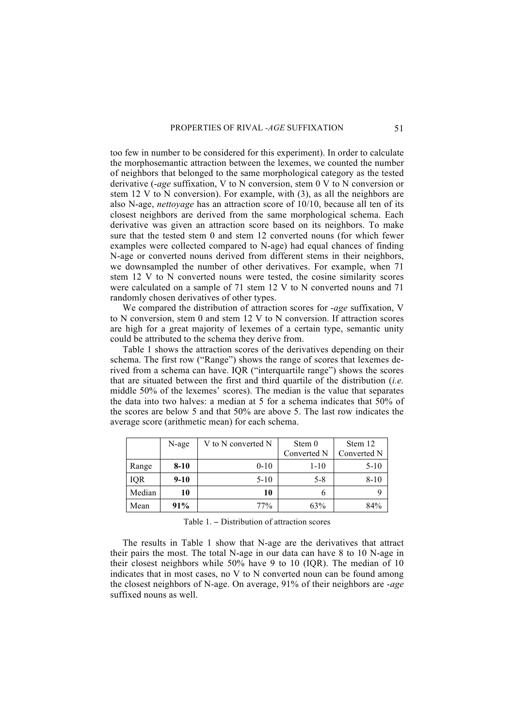too few in number to be considered for this experiment). In order to calculate the morphosemantic attraction between the lexemes, we counted the number of neighbors that belonged to the same morphological category as the tested derivative (-*age* suffixation, V to N conversion, stem 0 V to N conversion or stem 12 V to N conversion). For example, with (3), as all the neighbors are also N-age, *nettoyage* has an attraction score of 10/10, because all ten of its closest neighbors are derived from the same morphological schema. Each derivative was given an attraction score based on its neighbors. To make sure that the tested stem 0 and stem 12 converted nouns (for which fewer examples were collected compared to N-age) had equal chances of finding N-age or converted nouns derived from different stems in their neighbors, we downsampled the number of other derivatives. For example, when 71 stem 12 V to N converted nouns were tested, the cosine similarity scores were calculated on a sample of 71 stem 12 V to N converted nouns and 71 randomly chosen derivatives of other types.

We compared the distribution of attraction scores for -*age* suffixation, V to N conversion, stem 0 and stem 12 V to N conversion. If attraction scores are high for a great majority of lexemes of a certain type, semantic unity could be attributed to the schema they derive from.

Table 1 shows the attraction scores of the derivatives depending on their schema. The first row ("Range") shows the range of scores that lexemes derived from a schema can have. IQR ("interquartile range") shows the scores that are situated between the first and third quartile of the distribution (*i.e.* middle 50% of the lexemes' scores). The median is the value that separates the data into two halves: a median at 5 for a schema indicates that 50% of the scores are below 5 and that 50% are above 5. The last row indicates the average score (arithmetic mean) for each schema.

|            | N-age    | V to N converted N | Stem 0<br>Converted N | Stem 12<br>Converted N |
|------------|----------|--------------------|-----------------------|------------------------|
| Range      | $8 - 10$ | $0 - 10$           | $1 - 10$              | $5 - 10$               |
| <b>IQR</b> | $9 - 10$ | $5 - 10$           | $5 - 8$               | $8 - 10$               |
| Median     | 10       | 10                 |                       |                        |
| Mean       | 91%      | 77%                | 63%                   | 84%                    |

Table 1. − Distribution of attraction scores

The results in Table 1 show that N-age are the derivatives that attract their pairs the most. The total N-age in our data can have 8 to 10 N-age in their closest neighbors while 50% have 9 to 10 (IQR). The median of 10 indicates that in most cases, no V to N converted noun can be found among the closest neighbors of N-age. On average, 91% of their neighbors are -*age* suffixed nouns as well.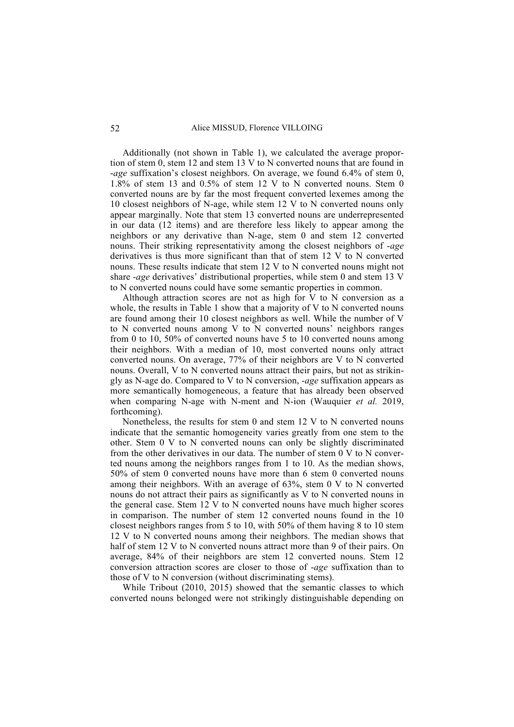Additionally (not shown in Table 1), we calculated the average proportion of stem 0, stem 12 and stem 13 V to N converted nouns that are found in -*age* suffixation's closest neighbors. On average, we found 6.4% of stem 0, 1.8% of stem 13 and 0.5% of stem 12 V to N converted nouns. Stem 0 converted nouns are by far the most frequent converted lexemes among the 10 closest neighbors of N-age, while stem 12 V to N converted nouns only appear marginally. Note that stem 13 converted nouns are underrepresented in our data (12 items) and are therefore less likely to appear among the neighbors or any derivative than N-age, stem 0 and stem 12 converted nouns. Their striking representativity among the closest neighbors of -*age* derivatives is thus more significant than that of stem 12 V to N converted nouns. These results indicate that stem 12 V to N converted nouns might not share -*age* derivatives' distributional properties, while stem 0 and stem 13 V to N converted nouns could have some semantic properties in common.

Although attraction scores are not as high for  $V$  to  $N$  conversion as a whole, the results in Table 1 show that a majority of V to N converted nouns are found among their 10 closest neighbors as well. While the number of V to N converted nouns among V to N converted nouns' neighbors ranges from 0 to 10, 50% of converted nouns have 5 to 10 converted nouns among their neighbors. With a median of 10, most converted nouns only attract converted nouns. On average, 77% of their neighbors are V to N converted nouns. Overall, V to N converted nouns attract their pairs, but not as strikingly as N-age do. Compared to V to N conversion, -*age* suffixation appears as more semantically homogeneous, a feature that has already been observed when comparing N-age with N-ment and N-ion (Wauquier *et al.* 2019, forthcoming).

Nonetheless, the results for stem 0 and stem 12 V to N converted nouns indicate that the semantic homogeneity varies greatly from one stem to the other. Stem 0 V to N converted nouns can only be slightly discriminated from the other derivatives in our data. The number of stem 0 V to N converted nouns among the neighbors ranges from 1 to 10. As the median shows, 50% of stem 0 converted nouns have more than 6 stem 0 converted nouns among their neighbors. With an average of 63%, stem 0 V to N converted nouns do not attract their pairs as significantly as V to N converted nouns in the general case. Stem 12 V to N converted nouns have much higher scores in comparison. The number of stem 12 converted nouns found in the 10 closest neighbors ranges from 5 to 10, with 50% of them having 8 to 10 stem 12 V to N converted nouns among their neighbors. The median shows that half of stem 12 V to N converted nouns attract more than 9 of their pairs. On average, 84% of their neighbors are stem 12 converted nouns. Stem 12 conversion attraction scores are closer to those of -*age* suffixation than to those of V to N conversion (without discriminating stems).

While Tribout (2010, 2015) showed that the semantic classes to which converted nouns belonged were not strikingly distinguishable depending on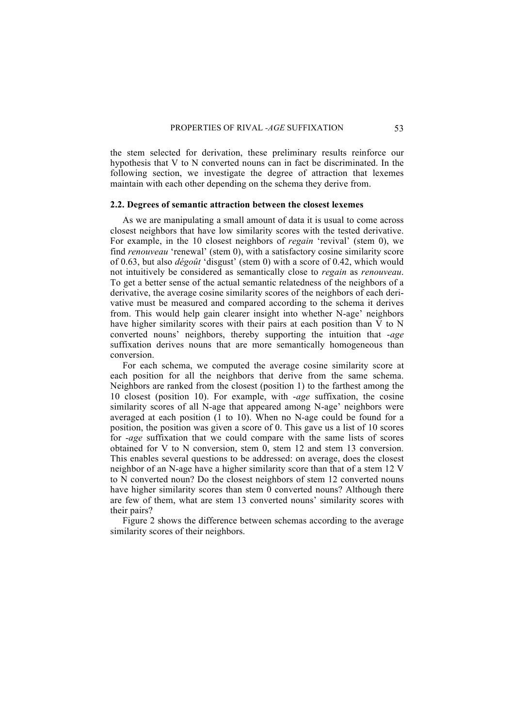the stem selected for derivation, these preliminary results reinforce our hypothesis that V to N converted nouns can in fact be discriminated. In the following section, we investigate the degree of attraction that lexemes maintain with each other depending on the schema they derive from.

### **2.2. Degrees of semantic attraction between the closest lexemes**

As we are manipulating a small amount of data it is usual to come across closest neighbors that have low similarity scores with the tested derivative. For example, in the 10 closest neighbors of *regain* 'revival' (stem 0), we find *renouveau* 'renewal' (stem 0), with a satisfactory cosine similarity score of 0.63, but also *dégoût* 'disgust' (stem 0) with a score of 0.42, which would not intuitively be considered as semantically close to *regain* as *renouveau*. To get a better sense of the actual semantic relatedness of the neighbors of a derivative, the average cosine similarity scores of the neighbors of each derivative must be measured and compared according to the schema it derives from. This would help gain clearer insight into whether N-age' neighbors have higher similarity scores with their pairs at each position than V to N converted nouns' neighbors, thereby supporting the intuition that -*age* suffixation derives nouns that are more semantically homogeneous than conversion.

For each schema, we computed the average cosine similarity score at each position for all the neighbors that derive from the same schema. Neighbors are ranked from the closest (position 1) to the farthest among the 10 closest (position 10). For example, with -*age* suffixation, the cosine similarity scores of all N-age that appeared among N-age' neighbors were averaged at each position (1 to 10). When no N-age could be found for a position, the position was given a score of 0. This gave us a list of 10 scores for -*age* suffixation that we could compare with the same lists of scores obtained for V to N conversion, stem 0, stem 12 and stem 13 conversion. This enables several questions to be addressed: on average, does the closest neighbor of an N-age have a higher similarity score than that of a stem 12 V to N converted noun? Do the closest neighbors of stem 12 converted nouns have higher similarity scores than stem 0 converted nouns? Although there are few of them, what are stem 13 converted nouns' similarity scores with their pairs?

Figure 2 shows the difference between schemas according to the average similarity scores of their neighbors.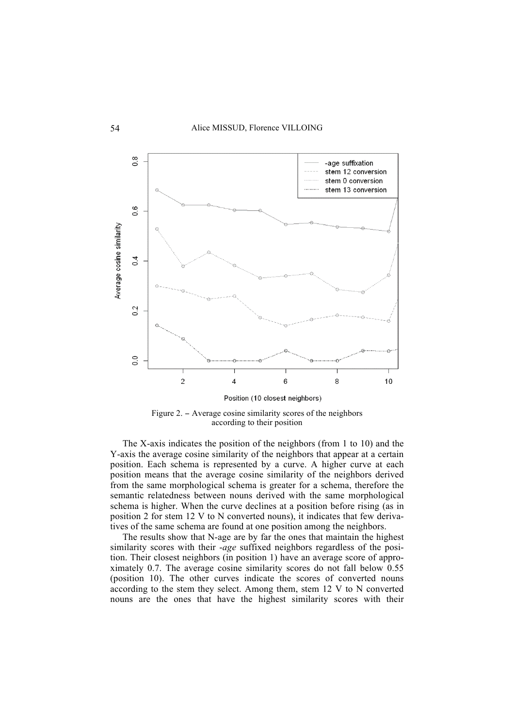



The X-axis indicates the position of the neighbors (from 1 to 10) and the Y-axis the average cosine similarity of the neighbors that appear at a certain position. Each schema is represented by a curve. A higher curve at each position means that the average cosine similarity of the neighbors derived from the same morphological schema is greater for a schema, therefore the semantic relatedness between nouns derived with the same morphological schema is higher. When the curve declines at a position before rising (as in position 2 for stem 12 V to N converted nouns), it indicates that few derivatives of the same schema are found at one position among the neighbors.

The results show that N-age are by far the ones that maintain the highest similarity scores with their -*age* suffixed neighbors regardless of the position. Their closest neighbors (in position 1) have an average score of approximately 0.7. The average cosine similarity scores do not fall below 0.55 (position 10). The other curves indicate the scores of converted nouns according to the stem they select. Among them, stem 12 V to N converted nouns are the ones that have the highest similarity scores with their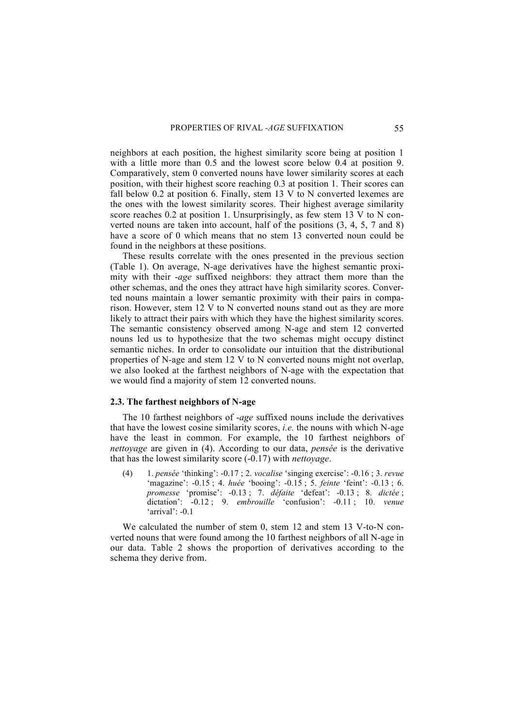neighbors at each position, the highest similarity score being at position 1 with a little more than 0.5 and the lowest score below 0.4 at position 9. Comparatively, stem 0 converted nouns have lower similarity scores at each position, with their highest score reaching 0.3 at position 1. Their scores can fall below 0.2 at position 6. Finally, stem 13 V to N converted lexemes are the ones with the lowest similarity scores. Their highest average similarity score reaches 0.2 at position 1. Unsurprisingly, as few stem 13 V to N converted nouns are taken into account, half of the positions (3, 4, 5, 7 and 8) have a score of 0 which means that no stem 13 converted noun could be found in the neighbors at these positions.

These results correlate with the ones presented in the previous section (Table 1). On average, N-age derivatives have the highest semantic proximity with their -*age* suffixed neighbors: they attract them more than the other schemas, and the ones they attract have high similarity scores. Converted nouns maintain a lower semantic proximity with their pairs in comparison. However, stem 12 V to N converted nouns stand out as they are more likely to attract their pairs with which they have the highest similarity scores. The semantic consistency observed among N-age and stem 12 converted nouns led us to hypothesize that the two schemas might occupy distinct semantic niches. In order to consolidate our intuition that the distributional properties of N-age and stem 12 V to N converted nouns might not overlap, we also looked at the farthest neighbors of N-age with the expectation that we would find a majority of stem 12 converted nouns.

# **2.3. The farthest neighbors of N-age**

The 10 farthest neighbors of -*age* suffixed nouns include the derivatives that have the lowest cosine similarity scores, *i.e.* the nouns with which N-age have the least in common. For example, the 10 farthest neighbors of *nettoyage* are given in (4). According to our data, *pensée* is the derivative that has the lowest similarity score (-0.17) with *nettoyage*.

(4) 1. *pensée* 'thinking': -0.17 ; 2. *vocalise* 'singing exercise': -0.16 ; 3. *revue* 'magazine': -0.15 ; 4. *huée* 'booing': -0.15 ; 5. *feinte* 'feint': -0.13 ; 6. *promesse* 'promise': -0.13 ; 7. *défaite* 'defeat': -0.13 ; 8. *dictée* ; dictation': -0.12 ; 9. *embrouille* 'confusion': -0.11 ; 10. *venue* 'arrival':  $-0.1$ 

We calculated the number of stem 0, stem 12 and stem 13 V-to-N converted nouns that were found among the 10 farthest neighbors of all N-age in our data. Table 2 shows the proportion of derivatives according to the schema they derive from.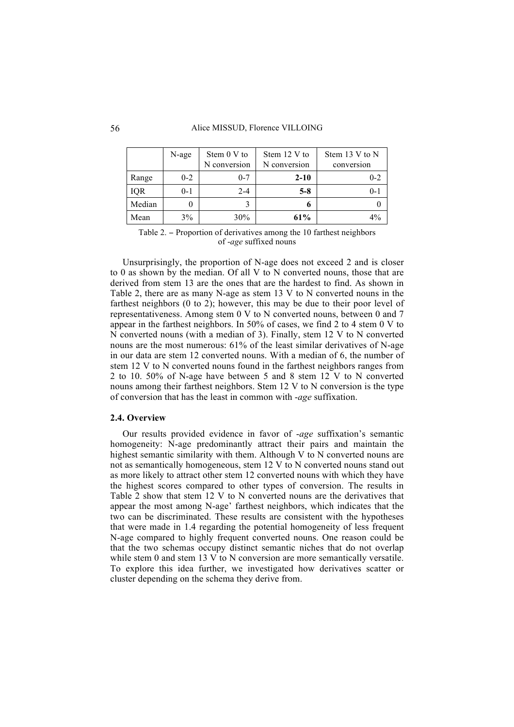#### 56 Alice MISSUD, Florence VILLOING

|            | N-age   | Stem 0 V to<br>N conversion | Stem 12 V to<br>N conversion | Stem 13 V to N<br>conversion |
|------------|---------|-----------------------------|------------------------------|------------------------------|
| Range      | $0 - 2$ | $0 - 7$                     | $2 - 10$                     | $0 - 2$                      |
| <b>IQR</b> | $0 - 1$ | $2 - 4$                     | $5-8$                        | $0 - 1$                      |
| Median     | 0       |                             | o                            |                              |
| Mean       | 3%      | 30%                         | 61%                          | $4\%$                        |

Table 2. − Proportion of derivatives among the 10 farthest neighbors of -*age* suffixed nouns

Unsurprisingly, the proportion of N-age does not exceed 2 and is closer to 0 as shown by the median. Of all V to N converted nouns, those that are derived from stem 13 are the ones that are the hardest to find. As shown in Table 2, there are as many N-age as stem 13 V to N converted nouns in the farthest neighbors (0 to 2); however, this may be due to their poor level of representativeness. Among stem 0 V to N converted nouns, between 0 and 7 appear in the farthest neighbors. In 50% of cases, we find 2 to 4 stem 0 V to N converted nouns (with a median of 3). Finally, stem 12 V to N converted nouns are the most numerous: 61% of the least similar derivatives of N-age in our data are stem 12 converted nouns. With a median of 6, the number of stem 12 V to N converted nouns found in the farthest neighbors ranges from 2 to 10. 50% of N-age have between 5 and 8 stem 12 V to N converted nouns among their farthest neighbors. Stem 12 V to N conversion is the type of conversion that has the least in common with -*age* suffixation.

# **2.4. Overview**

Our results provided evidence in favor of -*age* suffixation's semantic homogeneity: N-age predominantly attract their pairs and maintain the highest semantic similarity with them. Although V to N converted nouns are not as semantically homogeneous, stem 12 V to N converted nouns stand out as more likely to attract other stem 12 converted nouns with which they have the highest scores compared to other types of conversion. The results in Table 2 show that stem 12 V to N converted nouns are the derivatives that appear the most among N-age' farthest neighbors, which indicates that the two can be discriminated. These results are consistent with the hypotheses that were made in 1.4 regarding the potential homogeneity of less frequent N-age compared to highly frequent converted nouns. One reason could be that the two schemas occupy distinct semantic niches that do not overlap while stem 0 and stem 13 V to N conversion are more semantically versatile. To explore this idea further, we investigated how derivatives scatter or cluster depending on the schema they derive from.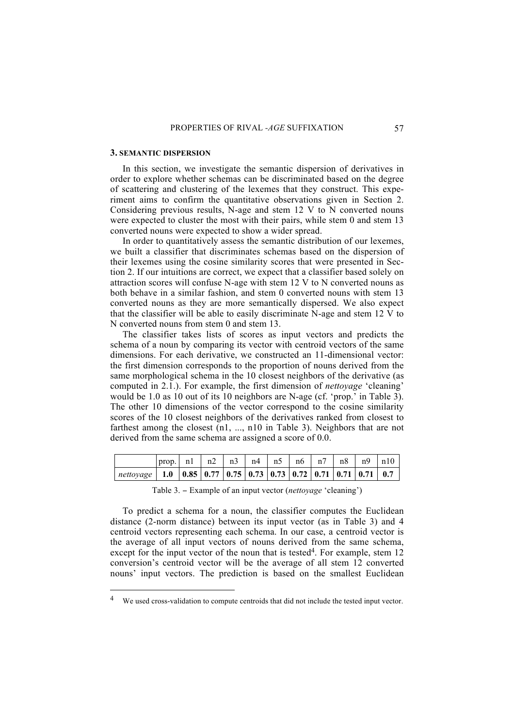#### **3. SEMANTIC DISPERSION**

In this section, we investigate the semantic dispersion of derivatives in order to explore whether schemas can be discriminated based on the degree of scattering and clustering of the lexemes that they construct. This experiment aims to confirm the quantitative observations given in Section 2. Considering previous results, N-age and stem 12 V to N converted nouns were expected to cluster the most with their pairs, while stem 0 and stem 13 converted nouns were expected to show a wider spread.

In order to quantitatively assess the semantic distribution of our lexemes, we built a classifier that discriminates schemas based on the dispersion of their lexemes using the cosine similarity scores that were presented in Section 2. If our intuitions are correct, we expect that a classifier based solely on attraction scores will confuse N-age with stem 12 V to N converted nouns as both behave in a similar fashion, and stem 0 converted nouns with stem 13 converted nouns as they are more semantically dispersed. We also expect that the classifier will be able to easily discriminate N-age and stem 12 V to N converted nouns from stem 0 and stem 13.

The classifier takes lists of scores as input vectors and predicts the schema of a noun by comparing its vector with centroid vectors of the same dimensions. For each derivative, we constructed an 11-dimensional vector: the first dimension corresponds to the proportion of nouns derived from the same morphological schema in the 10 closest neighbors of the derivative (as computed in 2.1.). For example, the first dimension of *nettoyage* 'cleaning' would be 1.0 as 10 out of its 10 neighbors are N-age (cf. 'prop.' in Table 3). The other 10 dimensions of the vector correspond to the cosine similarity scores of the 10 closest neighbors of the derivatives ranked from closest to farthest among the closest (n1, ..., n10 in Table 3). Neighbors that are not derived from the same schema are assigned a score of 0.0.

|                                                                                                                                                                                              | $\vert$ prop. $\vert$ n1 $\vert$ n2 $\vert$ n3 $\vert$ n4 $\vert$ n5 $\vert$ n6 $\vert$ n7 $\vert$ n8 $\vert$ n9 $\vert$ n10 |  |  |  |  |  |
|----------------------------------------------------------------------------------------------------------------------------------------------------------------------------------------------|------------------------------------------------------------------------------------------------------------------------------|--|--|--|--|--|
| $\sqrt{\frac{net}{2}}$ 1.0 $\sqrt{\frac{0.85}{0.77}}$ $\sqrt{\frac{0.75}{0.73}}$ $\sqrt{\frac{0.73}{0.72}}$ $\sqrt{\frac{0.71}{0.71}}$ $\sqrt{\frac{0.71}{0.71}}$ $\sqrt{\frac{0.71}{0.71}}$ |                                                                                                                              |  |  |  |  |  |

Table 3. − Example of an input vector (*nettoyage* 'cleaning')

To predict a schema for a noun, the classifier computes the Euclidean distance (2-norm distance) between its input vector (as in Table 3) and 4 centroid vectors representing each schema. In our case, a centroid vector is the average of all input vectors of nouns derived from the same schema, except for the input vector of the noun that is tested<sup>4</sup>. For example, stem  $12$ conversion's centroid vector will be the average of all stem 12 converted nouns' input vectors. The prediction is based on the smallest Euclidean

 <sup>4</sup> We used cross-validation to compute centroids that did not include the tested input vector.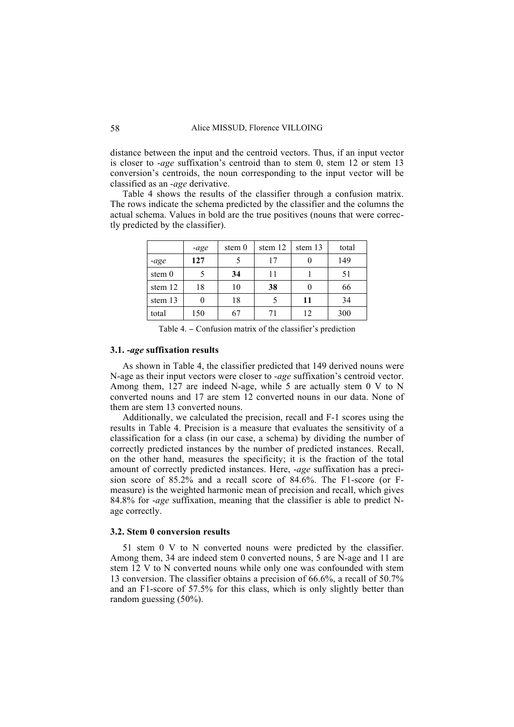distance between the input and the centroid vectors. Thus, if an input vector is closer to -*age* suffixation's centroid than to stem 0, stem 12 or stem 13 conversion's centroids, the noun corresponding to the input vector will be classified as an -*age* derivative.

Table 4 shows the results of the classifier through a confusion matrix. The rows indicate the schema predicted by the classifier and the columns the actual schema. Values in bold are the true positives (nouns that were correctly predicted by the classifier).

|          | -age | stem $0$ | stem 12 | stem 13 | total |
|----------|------|----------|---------|---------|-------|
| -age     | 127  |          | 17      |         | 149   |
| stem $0$ |      | 34       | 11      |         | 51    |
| stem 12  | 18   | 10       | 38      |         | 66    |
| stem 13  |      | 18       |         | 11      | 34    |
| total    | 150  | 67       |         | 12      | 300   |

Table 4. − Confusion matrix of the classifier's prediction

# **3.1. -***age* **suffixation results**

As shown in Table 4, the classifier predicted that 149 derived nouns were N-age as their input vectors were closer to -*age* suffixation's centroid vector. Among them, 127 are indeed N-age, while 5 are actually stem 0 V to N converted nouns and 17 are stem 12 converted nouns in our data. None of them are stem 13 converted nouns.

Additionally, we calculated the precision, recall and F-1 scores using the results in Table 4. Precision is a measure that evaluates the sensitivity of a classification for a class (in our case, a schema) by dividing the number of correctly predicted instances by the number of predicted instances. Recall, on the other hand, measures the specificity; it is the fraction of the total amount of correctly predicted instances. Here, -*age* suffixation has a precision score of 85.2% and a recall score of 84.6%. The F1-score (or Fmeasure) is the weighted harmonic mean of precision and recall, which gives 84.8% for -*age* suffixation, meaning that the classifier is able to predict Nage correctly.

# **3.2. Stem 0 conversion results**

51 stem 0 V to N converted nouns were predicted by the classifier. Among them, 34 are indeed stem 0 converted nouns, 5 are N-age and 11 are stem 12 V to N converted nouns while only one was confounded with stem 13 conversion. The classifier obtains a precision of 66.6%, a recall of 50.7% and an F1-score of 57.5% for this class, which is only slightly better than random guessing (50%).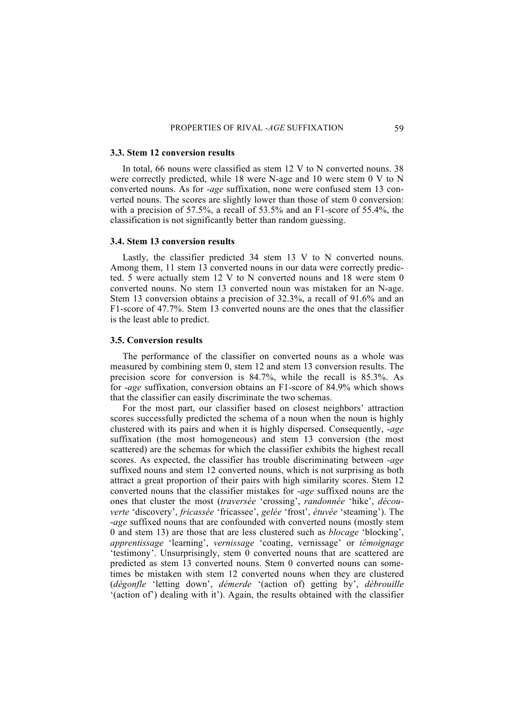### **3.3. Stem 12 conversion results**

In total, 66 nouns were classified as stem 12 V to N converted nouns. 38 were correctly predicted, while 18 were N-age and 10 were stem 0 V to N converted nouns. As for -*age* suffixation, none were confused stem 13 converted nouns. The scores are slightly lower than those of stem 0 conversion: with a precision of 57.5%, a recall of 53.5% and an F1-score of 55.4%, the classification is not significantly better than random guessing.

# **3.4. Stem 13 conversion results**

Lastly, the classifier predicted 34 stem 13 V to N converted nouns. Among them, 11 stem 13 converted nouns in our data were correctly predicted. 5 were actually stem 12 V to N converted nouns and 18 were stem 0 converted nouns. No stem 13 converted noun was mistaken for an N-age. Stem 13 conversion obtains a precision of 32.3%, a recall of 91.6% and an F1-score of 47.7%. Stem 13 converted nouns are the ones that the classifier is the least able to predict.

#### **3.5. Conversion results**

The performance of the classifier on converted nouns as a whole was measured by combining stem 0, stem 12 and stem 13 conversion results. The precision score for conversion is 84.7%, while the recall is 85.3%. As for -*age* suffixation, conversion obtains an F1-score of 84.9% which shows that the classifier can easily discriminate the two schemas.

For the most part, our classifier based on closest neighbors' attraction scores successfully predicted the schema of a noun when the noun is highly clustered with its pairs and when it is highly dispersed. Consequently, -*age* suffixation (the most homogeneous) and stem 13 conversion (the most scattered) are the schemas for which the classifier exhibits the highest recall scores. As expected, the classifier has trouble discriminating between -*age* suffixed nouns and stem 12 converted nouns, which is not surprising as both attract a great proportion of their pairs with high similarity scores. Stem 12 converted nouns that the classifier mistakes for -*age* suffixed nouns are the ones that cluster the most (*traversée* 'crossing', *randonnée* 'hike', *découverte* 'discovery', *fricassée* 'fricassee', *gelée* 'frost', *étuvée* 'steaming'). The -*age* suffixed nouns that are confounded with converted nouns (mostly stem 0 and stem 13) are those that are less clustered such as *blocage* 'blocking', *apprentissage* 'learning', *vernissage* 'coating, vernissage' or *témoignage* 'testimony'. Unsurprisingly, stem 0 converted nouns that are scattered are predicted as stem 13 converted nouns. Stem 0 converted nouns can sometimes be mistaken with stem 12 converted nouns when they are clustered (*dégonfle* 'letting down', *démerde* '(action of) getting by', *débrouille* '(action of') dealing with it'). Again, the results obtained with the classifier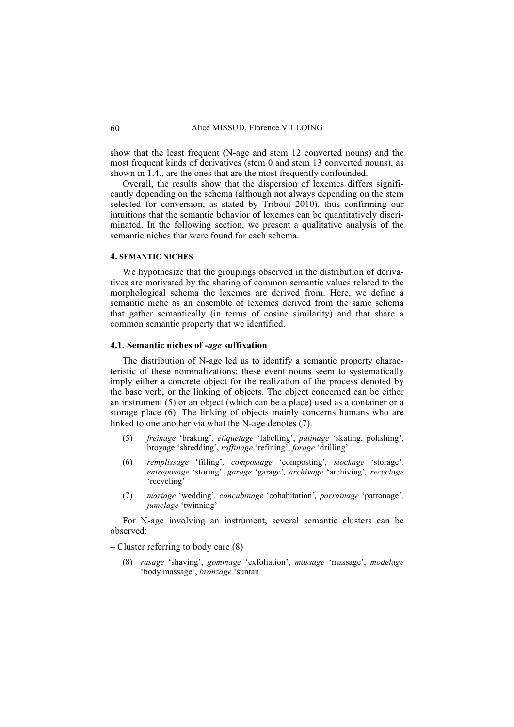show that the least frequent (N-age and stem 12 converted nouns) and the most frequent kinds of derivatives (stem 0 and stem 13 converted nouns), as shown in 1.4., are the ones that are the most frequently confounded.

Overall, the results show that the dispersion of lexemes differs significantly depending on the schema (although not always depending on the stem selected for conversion, as stated by Tribout 2010), thus confirming our intuitions that the semantic behavior of lexemes can be quantitatively discriminated. In the following section, we present a qualitative analysis of the semantic niches that were found for each schema.

#### **4. SEMANTIC NICHES**

We hypothesize that the groupings observed in the distribution of derivatives are motivated by the sharing of common semantic values related to the morphological schema the lexemes are derived from. Here, we define a semantic niche as an ensemble of lexemes derived from the same schema that gather semantically (in terms of cosine similarity) and that share a common semantic property that we identified.

# **4.1. Semantic niches of -***age* **suffixation**

The distribution of N-age led us to identify a semantic property characteristic of these nominalizations: these event nouns seem to systematically imply either a concrete object for the realization of the process denoted by the base verb, or the linking of objects. The object concerned can be either an instrument (5) or an object (which can be a place) used as a container or a storage place (6). The linking of objects mainly concerns humans who are linked to one another via what the N-age denotes (7).

- (5) *freinage* 'braking', *étiquetage* 'labelling', *patinage* 'skating, polishing', broyage 'shredding', *raffinage* 'refining', *forage* 'drilling'
- (6) *remplissage* 'filling'*, compostage* 'composting'*, stockage* 'storage'*, entreposage* 'storing'*, garage* 'garage'*, archivage* 'archiving'*, recyclage* 'recycling'
- (7) *mariage* 'wedding'*, concubinage* 'cohabitation'*, parrainage* 'patronage'*, jumelage* 'twinning'

For N-age involving an instrument, several semantic clusters can be observed:

– Cluster referring to body care (8)

(8) *rasage* 'shaving', *gommage* 'exfoliation', *massage* 'massage', *modelage* 'body massage', *bronzage* 'suntan'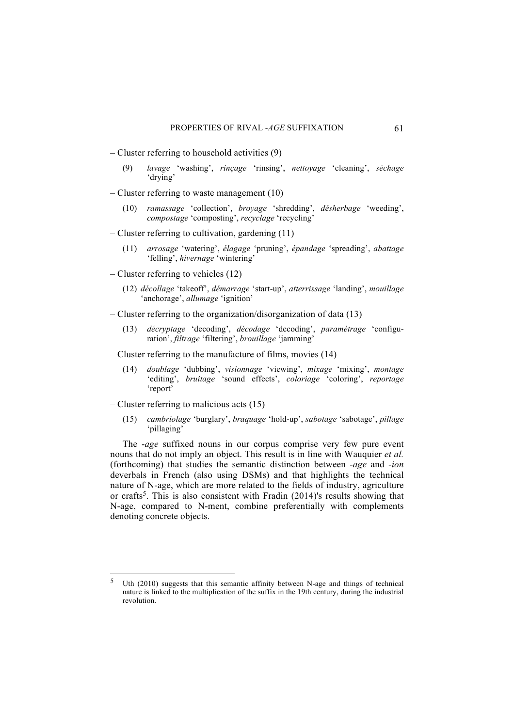- Cluster referring to household activities (9)
	- (9) *lavage* 'washing', *rinçage* 'rinsing', *nettoyage* 'cleaning', *séchage* 'drying'
- Cluster referring to waste management (10)
	- (10) *ramassage* 'collection', *broyage* 'shredding', *désherbage* 'weeding', *compostage* 'composting', *recyclage* 'recycling'
- Cluster referring to cultivation, gardening (11)
	- (11) *arrosage* 'watering', *élagage* 'pruning', *épandage* 'spreading', *abattage* 'felling', *hivernage* 'wintering'
- Cluster referring to vehicles (12)
	- (12) *décollage* 'takeoff', *démarrage* 'start-up', *atterrissage* 'landing', *mouillage* 'anchorage', *allumage* 'ignition'
- Cluster referring to the organization/disorganization of data (13)
	- (13) *décryptage* 'decoding', *décodage* 'decoding', *paramétrage* 'configuration', *filtrage* 'filtering', *brouillage* 'jamming'
- Cluster referring to the manufacture of films, movies (14)
	- (14) *doublage* 'dubbing', *visionnage* 'viewing', *mixage* 'mixing', *montage* 'editing', *bruitage* 'sound effects', *coloriage* 'coloring', *reportage* 'report'
- Cluster referring to malicious acts (15)
	- (15) *cambriolage* 'burglary', *braquage* 'hold-up', *sabotage* 'sabotage', *pillage* 'pillaging'

The -*age* suffixed nouns in our corpus comprise very few pure event nouns that do not imply an object. This result is in line with Wauquier *et al.* (forthcoming) that studies the semantic distinction between -*age* and -*ion* deverbals in French (also using DSMs) and that highlights the technical nature of N-age, which are more related to the fields of industry, agriculture or crafts<sup>5</sup>. This is also consistent with Fradin (2014)'s results showing that N-age, compared to N-ment, combine preferentially with complements denoting concrete objects.

Uth (2010) suggests that this semantic affinity between N-age and things of technical nature is linked to the multiplication of the suffix in the 19th century, during the industrial revolution.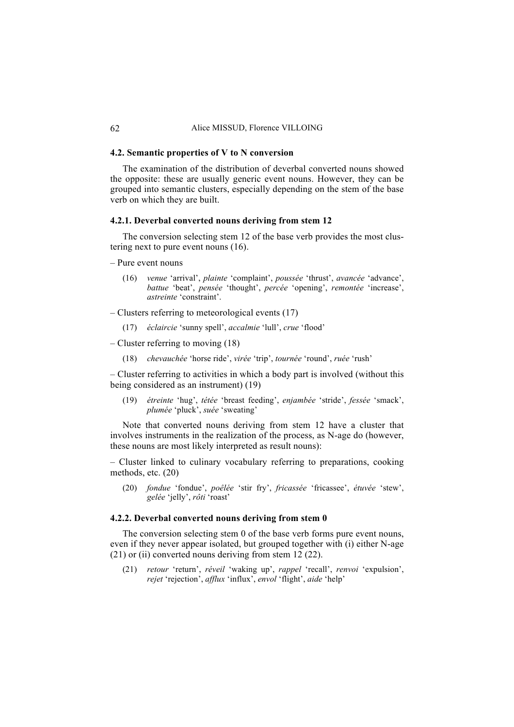# **4.2. Semantic properties of V to N conversion**

The examination of the distribution of deverbal converted nouns showed the opposite: these are usually generic event nouns. However, they can be grouped into semantic clusters, especially depending on the stem of the base verb on which they are built.

# **4.2.1. Deverbal converted nouns deriving from stem 12**

The conversion selecting stem 12 of the base verb provides the most clustering next to pure event nouns (16).

– Pure event nouns

- (16) *venue* 'arrival', *plainte* 'complaint', *poussée* 'thrust', *avancée* 'advance', *battue* 'beat', *pensée* 'thought', *percée* 'opening', *remontée* 'increase', *astreinte* 'constraint'.
- Clusters referring to meteorological events (17)
	- (17) *éclaircie* 'sunny spell', *accalmie* 'lull', *crue* 'flood'
- Cluster referring to moving (18)
	- (18) *chevauchée* 'horse ride', *virée* 'trip', *tournée* 'round', *ruée* 'rush'

– Cluster referring to activities in which a body part is involved (without this being considered as an instrument) (19)

(19) *étreinte* 'hug', *tétée* 'breast feeding', *enjambée* 'stride', *fessée* 'smack', *plumée* 'pluck', *suée* 'sweating'

Note that converted nouns deriving from stem 12 have a cluster that involves instruments in the realization of the process, as N-age do (however, these nouns are most likely interpreted as result nouns):

– Cluster linked to culinary vocabulary referring to preparations, cooking methods, etc. (20)

(20) *fondue* 'fondue', *poêlée* 'stir fry', *fricassée* 'fricassee', *étuvée* 'stew', *gelée* 'jelly', *rôti* 'roast'

# **4.2.2. Deverbal converted nouns deriving from stem 0**

The conversion selecting stem 0 of the base verb forms pure event nouns, even if they never appear isolated, but grouped together with (i) either N-age (21) or (ii) converted nouns deriving from stem 12 (22).

(21) *retour* 'return', *réveil* 'waking up', *rappel* 'recall', *renvoi* 'expulsion', *rejet* 'rejection', *afflux* 'influx', *envol* 'flight', *aide* 'help'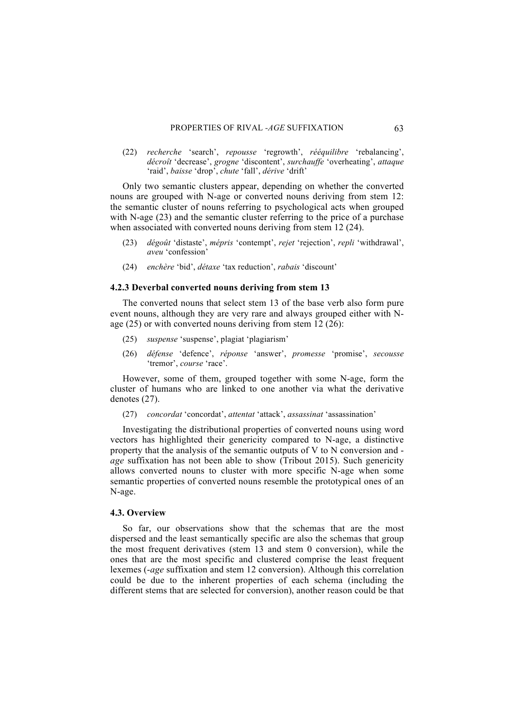(22) *recherche* 'search', *repousse* 'regrowth', *rééquilibre* 'rebalancing', *décroît* 'decrease', *grogne* 'discontent', *surchauffe* 'overheating', *attaque* 'raid', *baisse* 'drop', *chute* 'fall', *dérive* 'drift'

Only two semantic clusters appear, depending on whether the converted nouns are grouped with N-age or converted nouns deriving from stem 12: the semantic cluster of nouns referring to psychological acts when grouped with N-age (23) and the semantic cluster referring to the price of a purchase when associated with converted nouns deriving from stem 12 (24).

- (23) *dégoût* 'distaste', *mépris* 'contempt', *rejet* 'rejection', *repli* 'withdrawal', *aveu* 'confession'
- (24) *enchère* 'bid', *détaxe* 'tax reduction', *rabais* 'discount'

# **4.2.3 Deverbal converted nouns deriving from stem 13**

The converted nouns that select stem 13 of the base verb also form pure event nouns, although they are very rare and always grouped either with Nage (25) or with converted nouns deriving from stem 12 (26):

- (25) *suspense* 'suspense', plagiat 'plagiarism'
- (26) *défense* 'defence', *réponse* 'answer', *promesse* 'promise', *secousse* 'tremor', *course* 'race'.

However, some of them, grouped together with some N-age, form the cluster of humans who are linked to one another via what the derivative denotes (27).

(27) *concordat* 'concordat', *attentat* 'attack', *assassinat* 'assassination'

Investigating the distributional properties of converted nouns using word vectors has highlighted their genericity compared to N-age, a distinctive property that the analysis of the semantic outputs of V to N conversion and *age* suffixation has not been able to show (Tribout 2015). Such genericity allows converted nouns to cluster with more specific N-age when some semantic properties of converted nouns resemble the prototypical ones of an N-age.

# **4.3. Overview**

So far, our observations show that the schemas that are the most dispersed and the least semantically specific are also the schemas that group the most frequent derivatives (stem 13 and stem 0 conversion), while the ones that are the most specific and clustered comprise the least frequent lexemes (-*age* suffixation and stem 12 conversion). Although this correlation could be due to the inherent properties of each schema (including the different stems that are selected for conversion), another reason could be that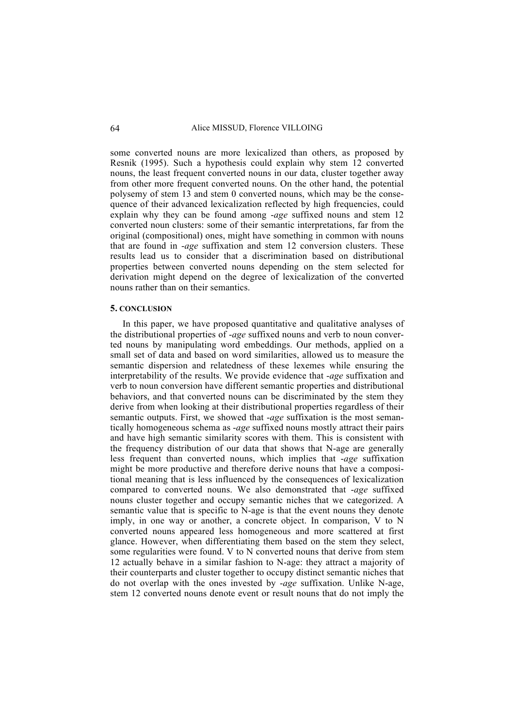some converted nouns are more lexicalized than others, as proposed by Resnik (1995). Such a hypothesis could explain why stem 12 converted nouns, the least frequent converted nouns in our data, cluster together away from other more frequent converted nouns. On the other hand, the potential polysemy of stem 13 and stem 0 converted nouns, which may be the consequence of their advanced lexicalization reflected by high frequencies, could explain why they can be found among -*age* suffixed nouns and stem 12 converted noun clusters: some of their semantic interpretations, far from the original (compositional) ones, might have something in common with nouns that are found in -*age* suffixation and stem 12 conversion clusters. These results lead us to consider that a discrimination based on distributional properties between converted nouns depending on the stem selected for derivation might depend on the degree of lexicalization of the converted nouns rather than on their semantics.

#### **5. CONCLUSION**

In this paper, we have proposed quantitative and qualitative analyses of the distributional properties of -*age* suffixed nouns and verb to noun converted nouns by manipulating word embeddings. Our methods, applied on a small set of data and based on word similarities, allowed us to measure the semantic dispersion and relatedness of these lexemes while ensuring the interpretability of the results. We provide evidence that -*age* suffixation and verb to noun conversion have different semantic properties and distributional behaviors, and that converted nouns can be discriminated by the stem they derive from when looking at their distributional properties regardless of their semantic outputs. First, we showed that -*age* suffixation is the most semantically homogeneous schema as -*age* suffixed nouns mostly attract their pairs and have high semantic similarity scores with them. This is consistent with the frequency distribution of our data that shows that N-age are generally less frequent than converted nouns, which implies that -*age* suffixation might be more productive and therefore derive nouns that have a compositional meaning that is less influenced by the consequences of lexicalization compared to converted nouns. We also demonstrated that -*age* suffixed nouns cluster together and occupy semantic niches that we categorized. A semantic value that is specific to N-age is that the event nouns they denote imply, in one way or another, a concrete object. In comparison, V to N converted nouns appeared less homogeneous and more scattered at first glance. However, when differentiating them based on the stem they select, some regularities were found. V to N converted nouns that derive from stem 12 actually behave in a similar fashion to N-age: they attract a majority of their counterparts and cluster together to occupy distinct semantic niches that do not overlap with the ones invested by -*age* suffixation. Unlike N-age, stem 12 converted nouns denote event or result nouns that do not imply the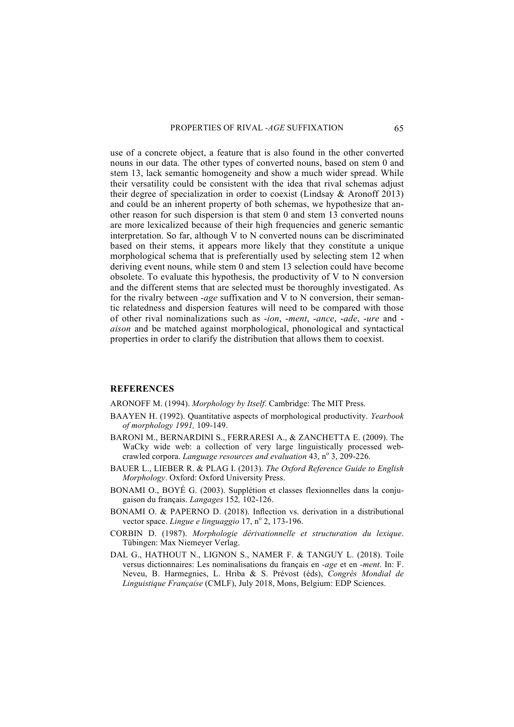use of a concrete object, a feature that is also found in the other converted nouns in our data. The other types of converted nouns, based on stem 0 and stem 13, lack semantic homogeneity and show a much wider spread. While their versatility could be consistent with the idea that rival schemas adjust their degree of specialization in order to coexist (Lindsay & Aronoff 2013) and could be an inherent property of both schemas, we hypothesize that another reason for such dispersion is that stem 0 and stem 13 converted nouns are more lexicalized because of their high frequencies and generic semantic interpretation. So far, although V to N converted nouns can be discriminated based on their stems, it appears more likely that they constitute a unique morphological schema that is preferentially used by selecting stem 12 when deriving event nouns, while stem 0 and stem 13 selection could have become obsolete. To evaluate this hypothesis, the productivity of V to N conversion and the different stems that are selected must be thoroughly investigated. As for the rivalry between -*age* suffixation and V to N conversion, their semantic relatedness and dispersion features will need to be compared with those of other rival nominalizations such as -*ion*, -*ment*, -*ance*, -*ade*, -*ure* and *aison* and be matched against morphological, phonological and syntactical properties in order to clarify the distribution that allows them to coexist.

# **REFERENCES**

ARONOFF M. (1994). *Morphology by Itself*. Cambridge: The MIT Press.

- BAAYEN H. (1992). Quantitative aspects of morphological productivity. *Yearbook of morphology 1991,* 109-149.
- BARONI M., BERNARDINI S., FERRARESI A., & ZANCHETTA E. (2009). The WaCky wide web: a collection of very large linguistically processed webcrawled corpora. *Language resources and evaluation* 43, n° 3, 209-226.
- BAUER L., LIEBER R. & PLAG I. (2013). *The Oxford Reference Guide to English Morphology*. Oxford: Oxford University Press.
- BONAMI O., BOYÉ G. (2003). Supplétion et classes flexionnelles dans la conjugaison du français. *Langages* 152*,* 102-126.
- BONAMI O. & PAPERNO D. (2018). Inflection vs. derivation in a distributional vector space. *Lingue e linguaggio* 17, nº 2, 173-196.
- CORBIN D. (1987). *Morphologie dérivationnelle et structuration du lexique*. Tübingen: Max Niemeyer Verlag.
- DAL G., HATHOUT N., LIGNON S., NAMER F. & TANGUY L. (2018). Toile versus dictionnaires: Les nominalisations du français en *-age* et en *-ment*. In: F. Neveu, B. Harmegnies, L. Hriba & S. Prévost (éds), *Congrès Mondial de Linguistique Française* (CMLF), July 2018, Mons, Belgium: EDP Sciences.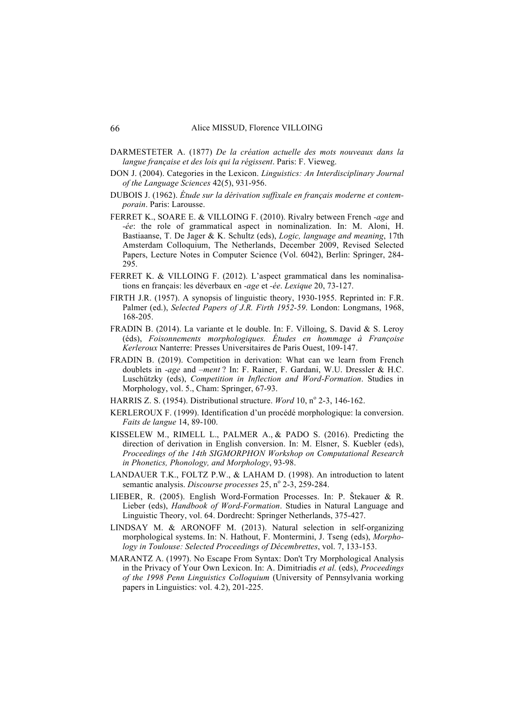- DARMESTETER A. (1877) *De la création actuelle des mots nouveaux dans la langue française et des lois qui la régissent*. Paris: F. Vieweg.
- DON J. (2004). Categories in the Lexicon. *Linguistics: An Interdisciplinary Journal of the Language Sciences* 42(5), 931-956.
- DUBOIS J. (1962). *Étude sur la dérivation suffixale en français moderne et contemporain*. Paris: Larousse.
- FERRET K., SOARE E. & VILLOING F. (2010). Rivalry between French *-age* and *-ée*: the role of grammatical aspect in nominalization. In: M. Aloni, H. Bastiaanse, T. De Jager & K. Schultz (eds), *Logic, language and meaning*, 17th Amsterdam Colloquium, The Netherlands, December 2009, Revised Selected Papers, Lecture Notes in Computer Science (Vol. 6042), Berlin: Springer, 284- 295.
- FERRET K. & VILLOING F. (2012). L'aspect grammatical dans les nominalisations en français: les déverbaux en *-age* et *-ée*. *Lexique* 20, 73-127.
- FIRTH J.R. (1957). A synopsis of linguistic theory, 1930-1955. Reprinted in: F.R. Palmer (ed.), *Selected Papers of J.R. Firth 1952-59*. London: Longmans, 1968, 168-205.
- FRADIN B. (2014). La variante et le double. In: F. Villoing, S. David & S. Leroy (éds), *Foisonnements morphologiques. Études en hommage à Françoise Kerleroux* Nanterre: Presses Universitaires de Paris Ouest, 109-147.
- FRADIN B. (2019). Competition in derivation: What can we learn from French doublets in *-age* and *–ment* ? In: F. Rainer, F. Gardani, W.U. Dressler & H.C. Luschützky (eds), *Competition in Inflection and Word-Formation*. Studies in Morphology, vol. 5., Cham: Springer, 67-93.
- HARRIS Z. S. (1954). Distributional structure. *Word* 10, nº 2-3, 146-162.
- KERLEROUX F. (1999). Identification d'un procédé morphologique: la conversion. *Faits de langue* 14, 89-100.
- KISSELEW M., RIMELL L., PALMER A., & PADO S. (2016). Predicting the direction of derivation in English conversion. In: M. Elsner, S. Kuebler (eds), *Proceedings of the 14th SIGMORPHON Workshop on Computational Research in Phonetics, Phonology, and Morphology*, 93-98.
- LANDAUER T.K., FOLTZ P.W., & LAHAM D. (1998). An introduction to latent semantic analysis. *Discourse processes* 25, n° 2-3, 259-284.
- LIEBER, R. (2005). English Word-Formation Processes. In: P. Štekauer & R. Lieber (eds), *Handbook of Word-Formation*. Studies in Natural Language and Linguistic Theory, vol. 64. Dordrecht: Springer Netherlands, 375-427.
- LINDSAY M. & ARONOFF M. (2013). Natural selection in self-organizing morphological systems. In: N. Hathout, F. Montermini, J. Tseng (eds), *Morphology in Toulouse: Selected Proceedings of Décembrettes*, vol. 7, 133-153.
- MARANTZ A. (1997). No Escape From Syntax: Don't Try Morphological Analysis in the Privacy of Your Own Lexicon. In: A. Dimitriadis *et al.* (eds), *Proceedings of the 1998 Penn Linguistics Colloquium* (University of Pennsylvania working papers in Linguistics: vol. 4.2), 201-225.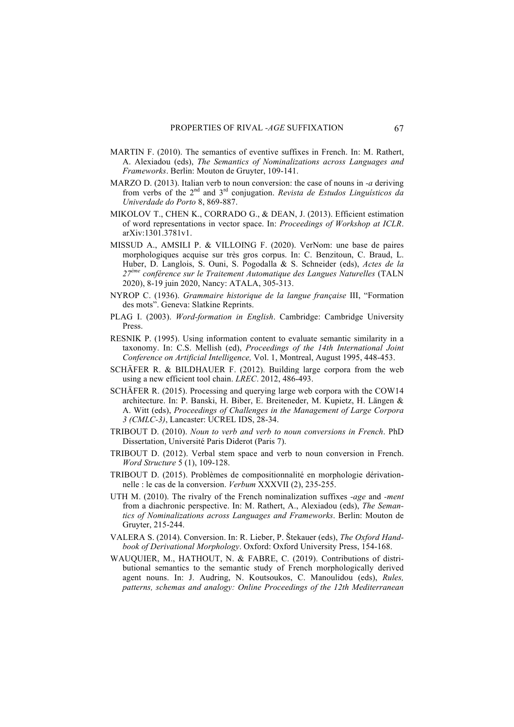- MARTIN F. (2010). The semantics of eventive suffixes in French. In: M. Rathert, A. Alexiadou (eds), *The Semantics of Nominalizations across Languages and Frameworks*. Berlin: Mouton de Gruyter, 109-141.
- MARZO D. (2013). Italian verb to noun conversion: the case of nouns in *-a* deriving from verbs of the 2nd and 3rd conjugation. *Revista de Estudos Linguísticos da Univerdade do Porto* 8, 869-887.
- MIKOLOV T., CHEN K., CORRADO G., & DEAN, J. (2013). Efficient estimation of word representations in vector space. In: *Proceedings of Workshop at ICLR*. arXiv:1301.3781v1.
- MISSUD A., AMSILI P. & VILLOING F. (2020). VerNom: une base de paires morphologiques acquise sur très gros corpus. In: C. Benzitoun, C. Braud, L. Huber, D. Langlois, S. Ouni, S. Pogodalla & S. Schneider (eds), *Actes de la 27ème conférence sur le Traitement Automatique des Langues Naturelles* (TALN 2020), 8-19 juin 2020, Nancy: ATALA, 305-313.
- NYROP C. (1936). *Grammaire historique de la langue française* III, "Formation des mots". Geneva: Slatkine Reprints.
- PLAG I. (2003). *Word-formation in English*. Cambridge: Cambridge University Press.
- RESNIK P. (1995). Using information content to evaluate semantic similarity in a taxonomy. In: C.S. Mellish (ed), *Proceedings of the 14th International Joint Conference on Artificial Intelligence,* Vol. 1, Montreal, August 1995, 448-453.
- SCHÄFER R. & BILDHAUER F. (2012). Building large corpora from the web using a new efficient tool chain. *LREC*. 2012, 486-493.
- SCHÄFER R. (2015). Processing and querying large web corpora with the COW14 architecture. In: P. Banski, H. Biber, E. Breiteneder, M. Kupietz, H. Längen & A. Witt (eds), *Proceedings of Challenges in the Management of Large Corpora 3 (CMLC-3)*, Lancaster: UCREL IDS, 28-34.
- TRIBOUT D. (2010). *Noun to verb and verb to noun conversions in French*. PhD Dissertation, Université Paris Diderot (Paris 7).
- TRIBOUT D. (2012). Verbal stem space and verb to noun conversion in French. *Word Structure* 5 (1), 109-128.
- TRIBOUT D. (2015). Problèmes de compositionnalité en morphologie dérivationnelle : le cas de la conversion. *Verbum* XXXVII (2), 235-255.
- UTH M. (2010). The rivalry of the French nominalization suffixes *-age* and *-ment* from a diachronic perspective. In: M. Rathert, A., Alexiadou (eds), *The Semantics of Nominalizations across Languages and Frameworks*. Berlin: Mouton de Gruyter, 215-244.
- VALERA S. (2014). Conversion. In: R. Lieber, P. Štekauer (eds), *The Oxford Handbook of Derivational Morphology*. Oxford: Oxford University Press, 154-168.
- WAUQUIER, M., HATHOUT, N. & FABRE, C. (2019). Contributions of distributional semantics to the semantic study of French morphologically derived agent nouns. In: J. Audring, N. Koutsoukos, C. Manoulidou (eds), *Rules, patterns, schemas and analogy: Online Proceedings of the 12th Mediterranean*